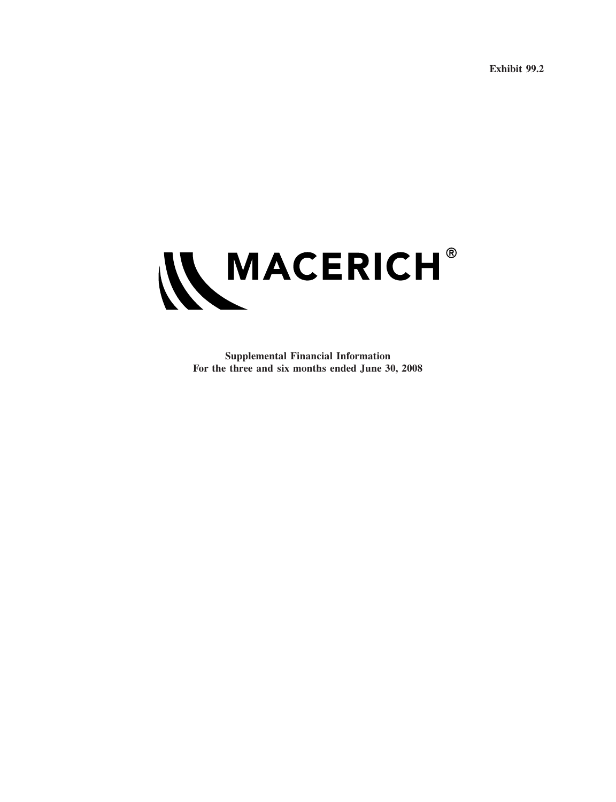**Exhibit 99.2**



**Supplemental Financial Information For the three and six months ended June 30, 2008**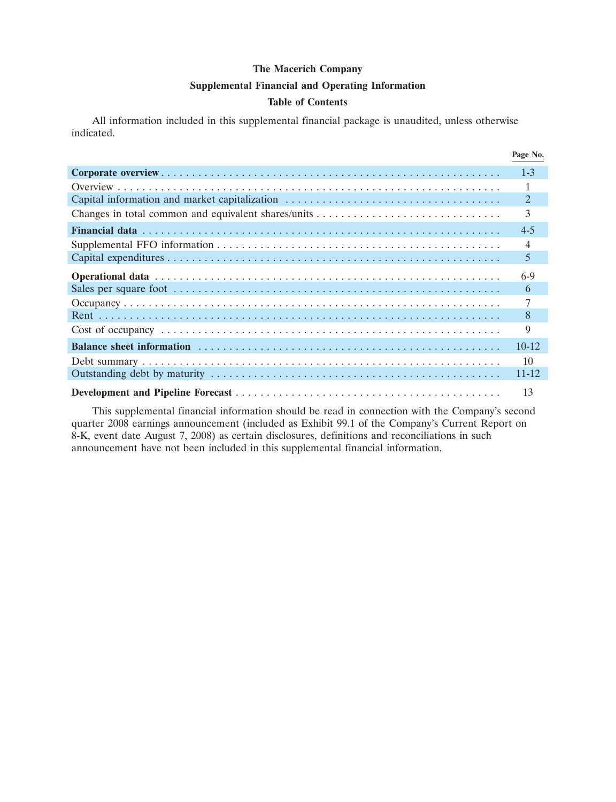#### **Supplemental Financial and Operating Information**

#### **Table of Contents**

All information included in this supplemental financial package is unaudited, unless otherwise indicated.

|                                               | Page No.  |
|-----------------------------------------------|-----------|
|                                               | $1 - 3$   |
|                                               |           |
| Capital information and market capitalization | 2         |
|                                               | 3         |
|                                               | $4 - 5$   |
|                                               | 4         |
|                                               | 5         |
|                                               | $6-9$     |
|                                               | 6         |
|                                               |           |
|                                               | 8         |
|                                               | 9         |
|                                               | $10 - 12$ |
|                                               | 10        |
|                                               | $11 - 12$ |
|                                               | 13        |

This supplemental financial information should be read in connection with the Company's second quarter 2008 earnings announcement (included as Exhibit 99.1 of the Company's Current Report on 8-K, event date August 7, 2008) as certain disclosures, definitions and reconciliations in such announcement have not been included in this supplemental financial information.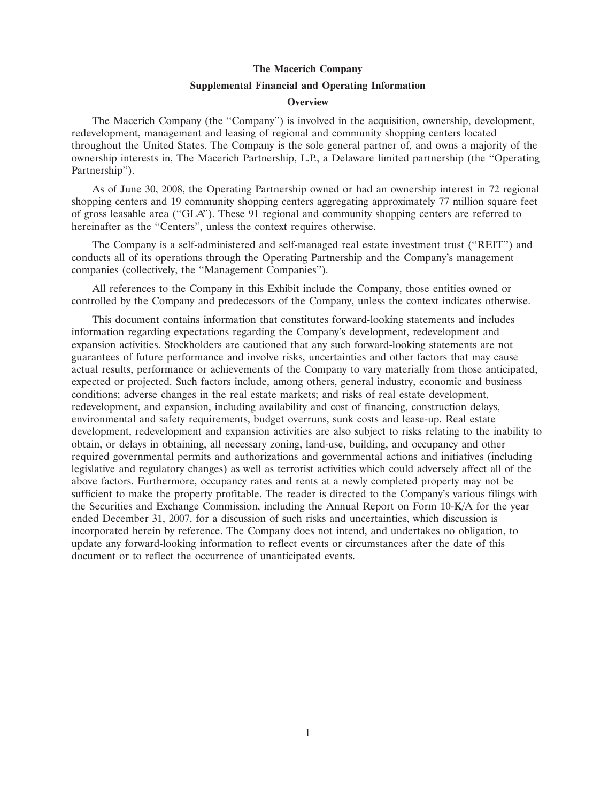#### **Supplemental Financial and Operating Information**

#### **Overview**

The Macerich Company (the ''Company'') is involved in the acquisition, ownership, development, redevelopment, management and leasing of regional and community shopping centers located throughout the United States. The Company is the sole general partner of, and owns a majority of the ownership interests in, The Macerich Partnership, L.P., a Delaware limited partnership (the ''Operating Partnership'').

As of June 30, 2008, the Operating Partnership owned or had an ownership interest in 72 regional shopping centers and 19 community shopping centers aggregating approximately 77 million square feet of gross leasable area (''GLA''). These 91 regional and community shopping centers are referred to hereinafter as the "Centers", unless the context requires otherwise.

The Company is a self-administered and self-managed real estate investment trust (''REIT'') and conducts all of its operations through the Operating Partnership and the Company's management companies (collectively, the ''Management Companies'').

All references to the Company in this Exhibit include the Company, those entities owned or controlled by the Company and predecessors of the Company, unless the context indicates otherwise.

This document contains information that constitutes forward-looking statements and includes information regarding expectations regarding the Company's development, redevelopment and expansion activities. Stockholders are cautioned that any such forward-looking statements are not guarantees of future performance and involve risks, uncertainties and other factors that may cause actual results, performance or achievements of the Company to vary materially from those anticipated, expected or projected. Such factors include, among others, general industry, economic and business conditions; adverse changes in the real estate markets; and risks of real estate development, redevelopment, and expansion, including availability and cost of financing, construction delays, environmental and safety requirements, budget overruns, sunk costs and lease-up. Real estate development, redevelopment and expansion activities are also subject to risks relating to the inability to obtain, or delays in obtaining, all necessary zoning, land-use, building, and occupancy and other required governmental permits and authorizations and governmental actions and initiatives (including legislative and regulatory changes) as well as terrorist activities which could adversely affect all of the above factors. Furthermore, occupancy rates and rents at a newly completed property may not be sufficient to make the property profitable. The reader is directed to the Company's various filings with the Securities and Exchange Commission, including the Annual Report on Form 10-K/A for the year ended December 31, 2007, for a discussion of such risks and uncertainties, which discussion is incorporated herein by reference. The Company does not intend, and undertakes no obligation, to update any forward-looking information to reflect events or circumstances after the date of this document or to reflect the occurrence of unanticipated events.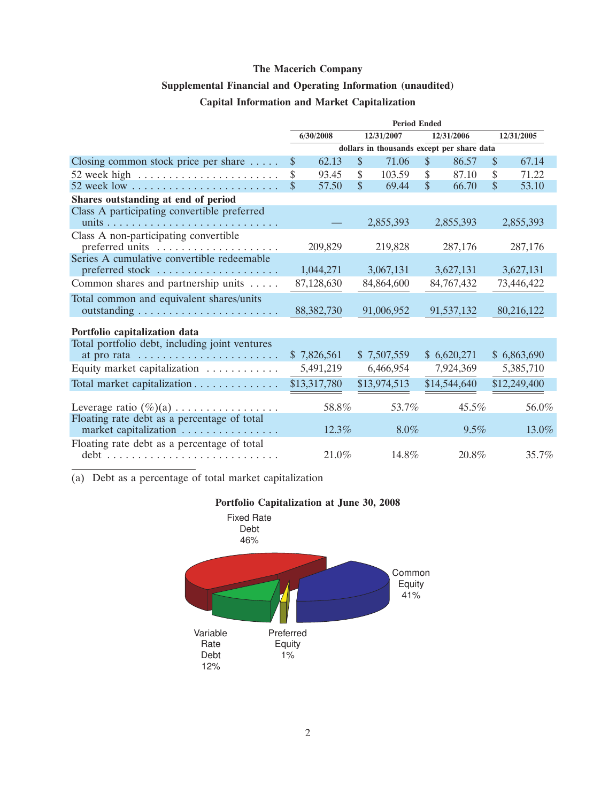# **Supplemental Financial and Operating Information (unaudited)**

### **Capital Information and Market Capitalization**

|                                                | <b>Period Ended</b>     |              |               |                                            |               |              |            |              |
|------------------------------------------------|-------------------------|--------------|---------------|--------------------------------------------|---------------|--------------|------------|--------------|
|                                                | 6/30/2008<br>12/31/2007 |              |               | 12/31/2006                                 |               |              | 12/31/2005 |              |
|                                                |                         |              |               | dollars in thousands except per share data |               |              |            |              |
| Closing common stock price per share $\dots$ . | \$                      | 62.13        | $\mathcal{S}$ | 71.06                                      | $\mathcal{S}$ | 86.57        | \$         | 67.14        |
| 52 week high $\ldots$                          | \$                      | 93.45        | \$            | 103.59                                     | \$            | 87.10        | \$         | 71.22        |
| $52$ week low                                  | \$                      | 57.50        | $\mathsf{\$}$ | 69.44                                      | \$            | 66.70        | \$         | 53.10        |
| Shares outstanding at end of period            |                         |              |               |                                            |               |              |            |              |
| Class A participating convertible preferred    |                         |              |               |                                            |               |              |            |              |
|                                                |                         |              |               | 2,855,393                                  |               | 2,855,393    |            | 2,855,393    |
| Class A non-participating convertible          |                         |              |               |                                            |               |              |            |              |
| preferred units                                |                         | 209,829      |               | 219,828                                    |               | 287,176      |            | 287,176      |
| Series A cumulative convertible redeemable     |                         |              |               |                                            |               |              |            |              |
| preferred stock                                |                         | 1,044,271    |               | 3,067,131                                  |               | 3,627,131    |            | 3,627,131    |
| Common shares and partnership units            |                         | 87,128,630   |               | 84,864,600                                 |               | 84,767,432   |            | 73,446,422   |
| Total common and equivalent shares/units       |                         |              |               |                                            |               |              |            |              |
|                                                |                         | 88, 382, 730 |               | 91,006,952                                 |               | 91,537,132   |            | 80,216,122   |
| Portfolio capitalization data                  |                         |              |               |                                            |               |              |            |              |
| Total portfolio debt, including joint ventures |                         |              |               |                                            |               |              |            |              |
| at pro rata                                    |                         | \$7,826,561  |               | \$7,507,559                                |               | \$6,620,271  |            | \$6,863,690  |
| Equity market capitalization                   |                         | 5,491,219    |               | 6,466,954                                  |               | 7,924,369    |            | 5,385,710    |
| Total market capitalization                    |                         | \$13,317,780 |               | \$13,974,513                               |               | \$14,544,640 |            | \$12,249,400 |
| Leverage ratio $(\%)$ (a)                      |                         | 58.8%        |               | 53.7%                                      |               | 45.5%        |            | 56.0%        |
| Floating rate debt as a percentage of total    |                         |              |               |                                            |               |              |            |              |
| market capitalization                          |                         | 12.3%        |               | $8.0\%$                                    |               | $9.5\%$      |            | 13.0%        |
| Floating rate debt as a percentage of total    |                         |              |               |                                            |               |              |            |              |
|                                                |                         | $21.0\%$     |               | 14.8%                                      |               | $20.8\%$     |            | 35.7%        |

(a) Debt as a percentage of total market capitalization



# **Portfolio Capitalization at June 30, 2008**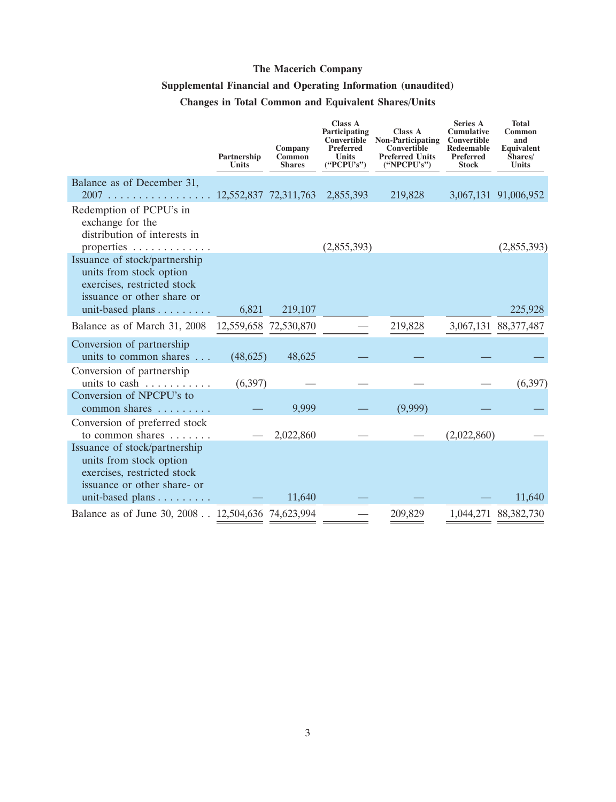## **Supplemental Financial and Operating Information (unaudited)**

# **Changes in Total Common and Equivalent Shares/Units**

|                                                                                                                        | Partnership<br><b>Units</b> | Company<br>Common<br><b>Shares</b> | <b>Class A</b><br>Participating<br>Convertible<br>Preferred<br><b>Units</b><br>("PCPU's") | Class A<br><b>Non-Participating</b><br>Convertible<br><b>Preferred Units</b><br>("NPCPU's") | <b>Series A</b><br><b>Cumulative</b><br>Convertible<br>Redeemable<br><b>Preferred</b><br><b>Stock</b> | <b>Total</b><br>Common<br>and<br><b>Equivalent</b><br>Shares/<br><b>Units</b> |
|------------------------------------------------------------------------------------------------------------------------|-----------------------------|------------------------------------|-------------------------------------------------------------------------------------------|---------------------------------------------------------------------------------------------|-------------------------------------------------------------------------------------------------------|-------------------------------------------------------------------------------|
| Balance as of December 31,                                                                                             |                             |                                    |                                                                                           |                                                                                             |                                                                                                       |                                                                               |
| 2007                                                                                                                   | 12,552,837 72,311,763       |                                    | 2,855,393                                                                                 | 219,828                                                                                     |                                                                                                       | 3,067,131 91,006,952                                                          |
| Redemption of PCPU's in<br>exchange for the<br>distribution of interests in                                            |                             |                                    |                                                                                           |                                                                                             |                                                                                                       |                                                                               |
| properties                                                                                                             |                             |                                    | (2,855,393)                                                                               |                                                                                             |                                                                                                       | (2,855,393)                                                                   |
| Issuance of stock/partnership<br>units from stock option<br>exercises, restricted stock<br>issuance or other share or  |                             |                                    |                                                                                           |                                                                                             |                                                                                                       |                                                                               |
| unit-based plans                                                                                                       | 6,821                       | 219,107                            |                                                                                           |                                                                                             |                                                                                                       | 225,928                                                                       |
| Balance as of March 31, 2008                                                                                           | 12,559,658 72,530,870       |                                    |                                                                                           | 219,828                                                                                     |                                                                                                       | 3,067,131 88,377,487                                                          |
| Conversion of partnership<br>units to common shares                                                                    | (48, 625)                   | 48,625                             |                                                                                           |                                                                                             |                                                                                                       |                                                                               |
| Conversion of partnership<br>units to cash                                                                             | (6,397)                     |                                    |                                                                                           |                                                                                             |                                                                                                       | (6, 397)                                                                      |
| Conversion of NPCPU's to<br>common shares                                                                              |                             | 9,999                              |                                                                                           | (9,999)                                                                                     |                                                                                                       |                                                                               |
| Conversion of preferred stock<br>to common shares                                                                      |                             | 2,022,860                          |                                                                                           |                                                                                             | (2,022,860)                                                                                           |                                                                               |
| Issuance of stock/partnership<br>units from stock option<br>exercises, restricted stock<br>issuance or other share- or |                             |                                    |                                                                                           |                                                                                             |                                                                                                       |                                                                               |
|                                                                                                                        |                             | 11,640                             |                                                                                           |                                                                                             |                                                                                                       | 11,640                                                                        |
| Balance as of June 30, 2008 12,504,636 74,623,994                                                                      |                             |                                    |                                                                                           | 209,829                                                                                     |                                                                                                       | 1,044,271 88,382,730                                                          |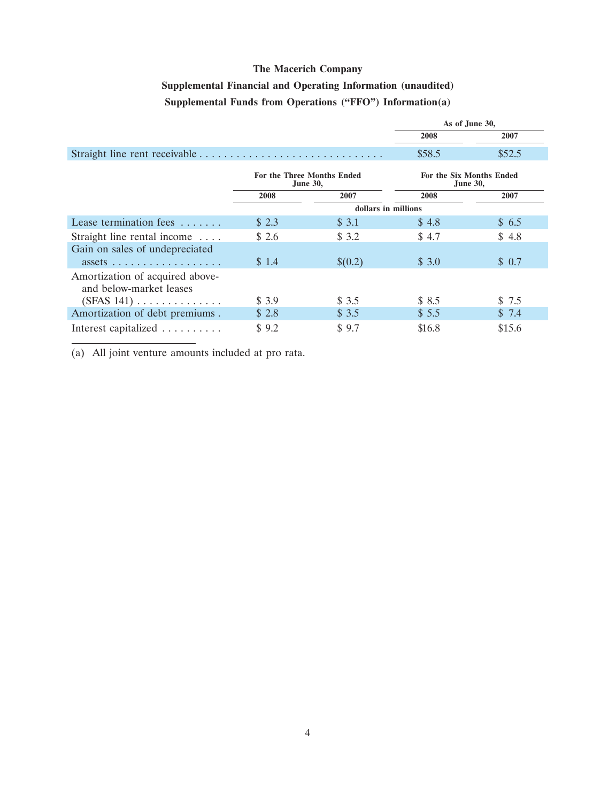# **Supplemental Financial and Operating Information (unaudited) Supplemental Funds from Operations (''FFO'') Information(a)**

|                                                            |                                               |                     | As of June 30, |                                             |  |
|------------------------------------------------------------|-----------------------------------------------|---------------------|----------------|---------------------------------------------|--|
|                                                            |                                               |                     | 2008           | 2007                                        |  |
|                                                            |                                               |                     | \$58.5         | \$52.5                                      |  |
|                                                            | For the Three Months Ended<br><b>June 30,</b> |                     |                | For the Six Months Ended<br><b>June 30,</b> |  |
|                                                            | 2008                                          | 2007                | 2008           | 2007                                        |  |
|                                                            |                                               | dollars in millions |                |                                             |  |
| Lease termination fees $\dots$                             | \$2.3                                         | \$3.1               | \$4.8          | \$6.5                                       |  |
| Straight line rental income                                | \$2.6                                         | \$3.2               | \$4.7          | \$4.8                                       |  |
| Gain on sales of undepreciated                             |                                               |                     |                |                                             |  |
| $assets \ldots \ldots \ldots \ldots \ldots$                | \$1.4                                         | \$(0.2)             | \$3.0          | \$ 0.7                                      |  |
| Amortization of acquired above-<br>and below-market leases |                                               |                     |                |                                             |  |
| $(SFAS 141) \ldots \ldots \ldots \ldots$                   | \$ 3.9                                        | \$3.5               | \$8.5          | \$ 7.5                                      |  |
| Amortization of debt premiums.                             | \$2.8                                         | \$3.5               | \$5.5          | \$7.4                                       |  |
| Interest capitalized                                       | \$9.2                                         | \$9.7               | \$16.8         | \$15.6                                      |  |

(a) All joint venture amounts included at pro rata.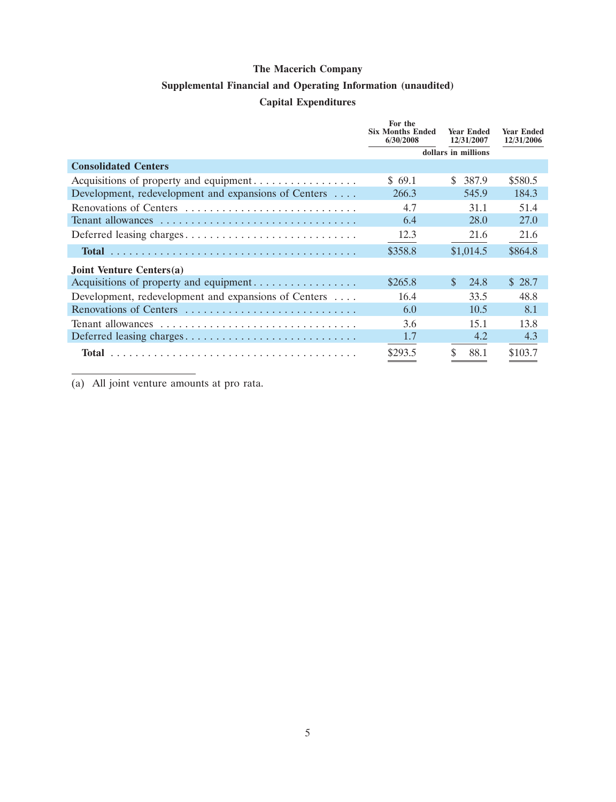## **Supplemental Financial and Operating Information (unaudited)**

# **Capital Expenditures**

|                                                      | For the                              |                                 |                                 |
|------------------------------------------------------|--------------------------------------|---------------------------------|---------------------------------|
|                                                      | <b>Six Months Ended</b><br>6/30/2008 | <b>Year Ended</b><br>12/31/2007 | <b>Year Ended</b><br>12/31/2006 |
|                                                      | dollars in millions                  |                                 |                                 |
| <b>Consolidated Centers</b>                          |                                      |                                 |                                 |
|                                                      | \$69.1                               | 387.9<br>S.                     | \$580.5                         |
| Development, redevelopment and expansions of Centers | 266.3                                | 545.9                           | 184.3                           |
| Renovations of Centers                               | 4.7                                  | 31.1                            | 51.4                            |
| Tenant allowances                                    | 6.4                                  | 28.0                            | 27.0                            |
|                                                      | 12.3                                 | 21.6                            | 21.6                            |
|                                                      | \$358.8                              | \$1,014.5                       | \$864.8                         |
| Joint Venture Centers(a)                             |                                      |                                 |                                 |
| Acquisitions of property and equipment               | \$265.8                              | $\mathbf{\$}$<br>24.8           | \$28.7                          |
| Development, redevelopment and expansions of Centers | 16.4                                 | 33.5                            | 48.8                            |
| Renovations of Centers                               | 6.0                                  | 10.5                            | 8.1                             |
| Tenant allowances                                    | 3.6                                  | 15.1                            | 13.8                            |
|                                                      | 1.7                                  | 4.2                             | 4.3                             |
|                                                      | \$293.5                              | \$<br>88.1                      | \$103.7                         |

(a) All joint venture amounts at pro rata.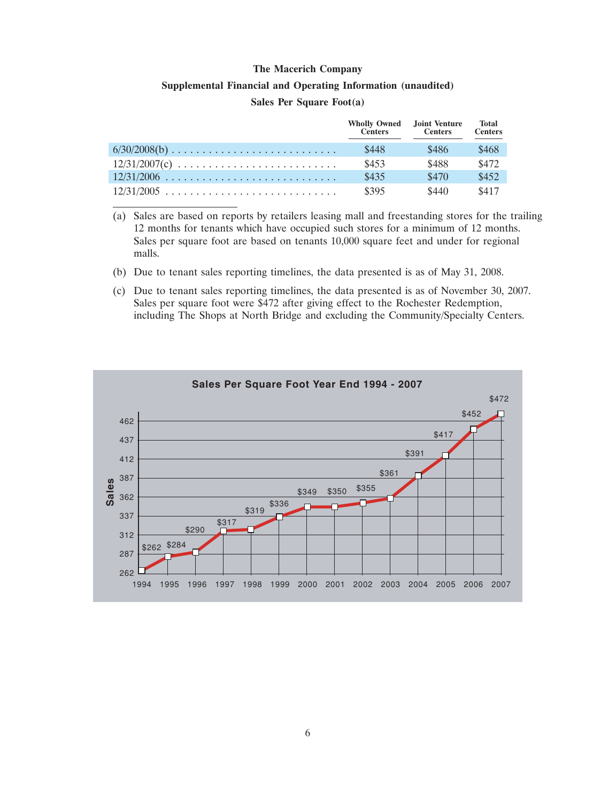#### **Supplemental Financial and Operating Information (unaudited)**

#### **Sales Per Square Foot(a)**

| <b>Wholly Owned</b> Joint Venture<br><b>Centers</b> | <b>Centers</b> | <b>Total</b><br><b>Centers</b> |
|-----------------------------------------------------|----------------|--------------------------------|
| \$448                                               | \$486          | \$468                          |
| \$453                                               | \$488          | \$472                          |
| \$435                                               | \$470          | \$452                          |
| \$395                                               | \$440          | \$417                          |

<sup>(</sup>a) Sales are based on reports by retailers leasing mall and freestanding stores for the trailing 12 months for tenants which have occupied such stores for a minimum of 12 months. Sales per square foot are based on tenants 10,000 square feet and under for regional malls.

- (b) Due to tenant sales reporting timelines, the data presented is as of May 31, 2008.
- (c) Due to tenant sales reporting timelines, the data presented is as of November 30, 2007. Sales per square foot were \$472 after giving effect to the Rochester Redemption, including The Shops at North Bridge and excluding the Community/Specialty Centers.

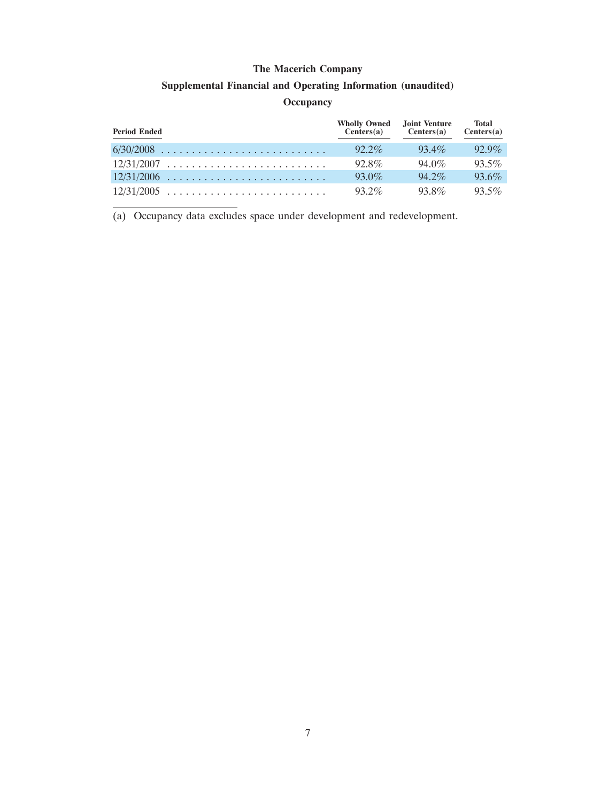## **Supplemental Financial and Operating Information (unaudited)**

#### **Occupancy**

| <b>Period Ended</b> | <b>Wholly Owned</b> Joint Venture<br>Centers(a) | Centers(a) | <b>Total</b><br>Centers(a) |
|---------------------|-------------------------------------------------|------------|----------------------------|
|                     | $92.2\%$                                        | $93.4\%$   | $92.9\%$                   |
| $12/31/2007$        | $92.8\%$                                        | $94.0\%$   | $93.5\%$                   |
|                     | $93.0\%$                                        | $94.2\%$   | $93.6\%$                   |
| $12/31/2005$        | $93.2\%$                                        | $93.8\%$   | $93.5\%$                   |

(a) Occupancy data excludes space under development and redevelopment.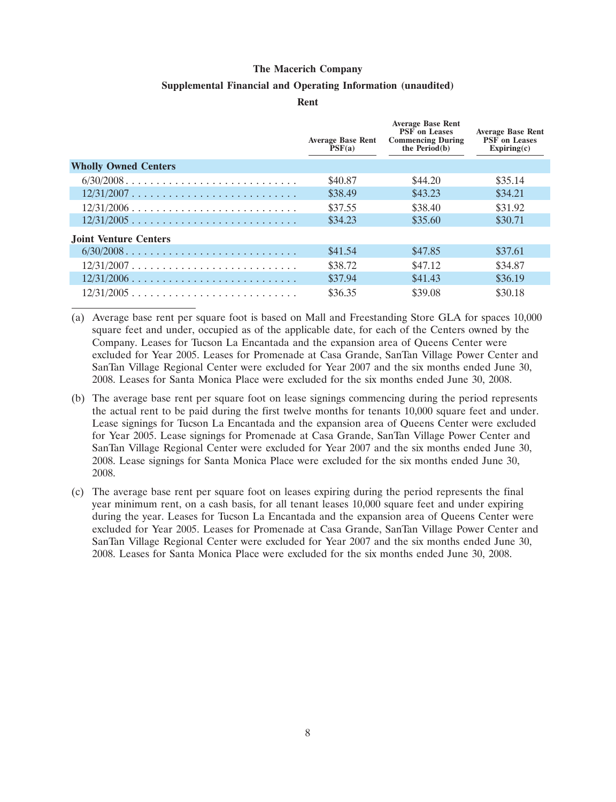#### **Supplemental Financial and Operating Information (unaudited)**

**Rent**

|                              | <b>Average Base Rent</b><br>PSF(a) | <b>Average Base Rent</b><br><b>PSF</b> on Leases<br><b>Commencing During</b><br>the $Period(b)$ | <b>Average Base Rent</b><br><b>PSF</b> on Leases<br>Expiring(c) |
|------------------------------|------------------------------------|-------------------------------------------------------------------------------------------------|-----------------------------------------------------------------|
| <b>Wholly Owned Centers</b>  |                                    |                                                                                                 |                                                                 |
|                              | \$40.87                            | \$44.20                                                                                         | \$35.14                                                         |
|                              | \$38.49                            | \$43.23                                                                                         | \$34.21                                                         |
| $12/31/2006$                 | \$37.55                            | \$38.40                                                                                         | \$31.92                                                         |
| $12/31/2005$                 | \$34.23                            | \$35.60                                                                                         | \$30.71                                                         |
| <b>Joint Venture Centers</b> |                                    |                                                                                                 |                                                                 |
|                              | \$41.54                            | \$47.85                                                                                         | \$37.61                                                         |
| $12/31/2007$                 | \$38.72                            | \$47.12                                                                                         | \$34.87                                                         |
| $12/31/2006$                 | \$37.94                            | \$41.43                                                                                         | \$36.19                                                         |
| $12/31/2005$                 | \$36.35                            | \$39.08                                                                                         | \$30.18                                                         |

- (a) Average base rent per square foot is based on Mall and Freestanding Store GLA for spaces 10,000 square feet and under, occupied as of the applicable date, for each of the Centers owned by the Company. Leases for Tucson La Encantada and the expansion area of Queens Center were excluded for Year 2005. Leases for Promenade at Casa Grande, SanTan Village Power Center and SanTan Village Regional Center were excluded for Year 2007 and the six months ended June 30, 2008. Leases for Santa Monica Place were excluded for the six months ended June 30, 2008.
- (b) The average base rent per square foot on lease signings commencing during the period represents the actual rent to be paid during the first twelve months for tenants 10,000 square feet and under. Lease signings for Tucson La Encantada and the expansion area of Queens Center were excluded for Year 2005. Lease signings for Promenade at Casa Grande, SanTan Village Power Center and SanTan Village Regional Center were excluded for Year 2007 and the six months ended June 30, 2008. Lease signings for Santa Monica Place were excluded for the six months ended June 30, 2008.
- (c) The average base rent per square foot on leases expiring during the period represents the final year minimum rent, on a cash basis, for all tenant leases 10,000 square feet and under expiring during the year. Leases for Tucson La Encantada and the expansion area of Queens Center were excluded for Year 2005. Leases for Promenade at Casa Grande, SanTan Village Power Center and SanTan Village Regional Center were excluded for Year 2007 and the six months ended June 30, 2008. Leases for Santa Monica Place were excluded for the six months ended June 30, 2008.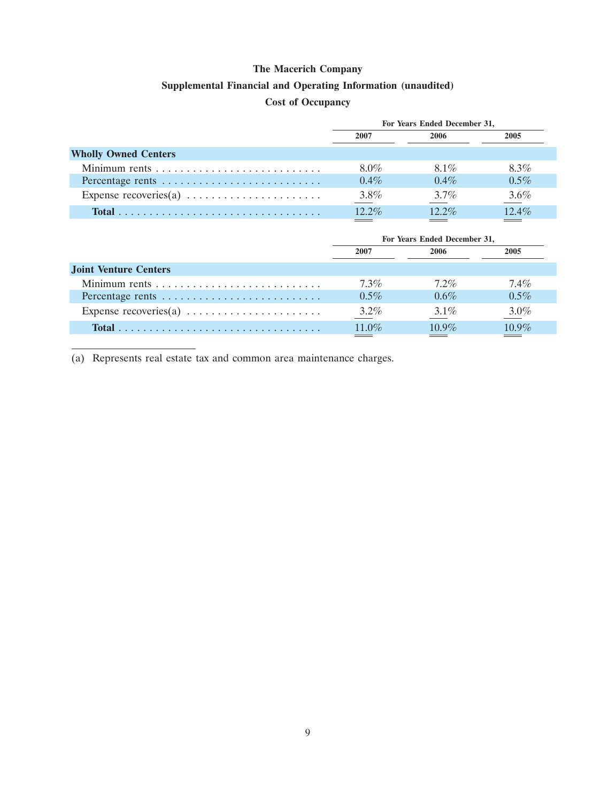## **Supplemental Financial and Operating Information (unaudited)**

# **Cost of Occupancy**

|                                                                   | For Years Ended December 31, |          |          |  |  |  |
|-------------------------------------------------------------------|------------------------------|----------|----------|--|--|--|
|                                                                   | 2007                         | 2006     | 2005     |  |  |  |
| <b>Wholly Owned Centers</b>                                       |                              |          |          |  |  |  |
|                                                                   | $8.0\%$                      | 8.1%     | 8.3%     |  |  |  |
| Percentage rents                                                  | $0.4\%$                      | $0.4\%$  | $0.5\%$  |  |  |  |
| Expense recoveries(a) $\dots \dots \dots \dots \dots \dots \dots$ | $3.8\%$                      | $3.7\%$  | $3.6\%$  |  |  |  |
|                                                                   | $12.2\%$                     | $12.2\%$ | $12.4\%$ |  |  |  |

|                                                                   | For Years Ended December 31, |          |          |  |  |
|-------------------------------------------------------------------|------------------------------|----------|----------|--|--|
|                                                                   | 2007                         | 2006     | 2005     |  |  |
| <b>Joint Venture Centers</b>                                      |                              |          |          |  |  |
|                                                                   | $7.3\%$                      | $7.2\%$  | $7.4\%$  |  |  |
| Percentage rents                                                  | $0.5\%$                      | $0.6\%$  | $0.5\%$  |  |  |
| Expense recoveries(a) $\dots \dots \dots \dots \dots \dots \dots$ | $3.2\%$                      | $3.1\%$  | $3.0\%$  |  |  |
|                                                                   | 11.0%                        | $10.9\%$ | $10.9\%$ |  |  |
|                                                                   |                              |          |          |  |  |

(a) Represents real estate tax and common area maintenance charges.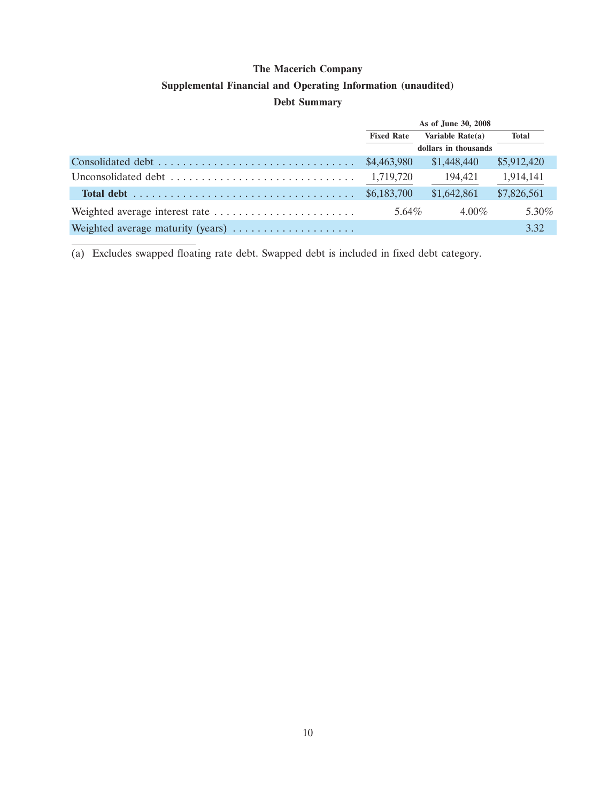## **Supplemental Financial and Operating Information (unaudited)**

#### **Debt Summary**

|                                                                                           | As of June 30, 2008 |                      |             |  |
|-------------------------------------------------------------------------------------------|---------------------|----------------------|-------------|--|
|                                                                                           | <b>Fixed Rate</b>   | Variable Rate(a)     | Total       |  |
|                                                                                           |                     | dollars in thousands |             |  |
|                                                                                           | \$4,463,980         | \$1,448,440          | \$5,912,420 |  |
|                                                                                           | 1,719,720           | 194,421              | 1,914,141   |  |
| Total debt $\ldots \ldots \ldots \ldots \ldots \ldots \ldots \ldots \ldots \ldots \ldots$ | \$6,183,700         | \$1,642,861          | \$7,826,561 |  |
|                                                                                           | 5.64%               | $4.00\%$             | $5.30\%$    |  |
| Weighted average maturity (years)                                                         |                     |                      | 3.32        |  |

(a) Excludes swapped floating rate debt. Swapped debt is included in fixed debt category.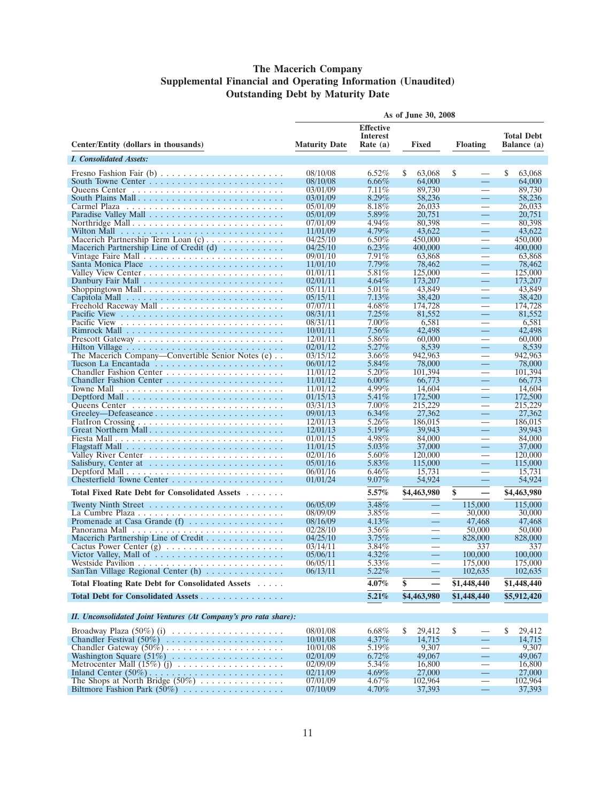#### **The Macerich Company Supplemental Financial and Operating Information (Unaudited) Outstanding Debt by Maturity Date**

|                                                                                    |                      |                                     | As of June 30, 2008      |                                |                   |
|------------------------------------------------------------------------------------|----------------------|-------------------------------------|--------------------------|--------------------------------|-------------------|
|                                                                                    |                      | <b>Effective</b><br><b>Interest</b> |                          |                                | <b>Total Debt</b> |
| Center/Entity (dollars in thousands)                                               | <b>Maturity Date</b> | Rate (a)                            | Fixed                    | <b>Floating</b>                | Balance (a)       |
| <i>I. Consolidated Assets:</i>                                                     |                      |                                     |                          |                                |                   |
|                                                                                    | 08/10/08             | $6.52\%$                            | S<br>63,068              | \$                             | S<br>63,068       |
| South Towne Center $\ldots$ , $\ldots$ , $\ldots$ , $\ldots$ , $\ldots$ , $\ldots$ | 08/10/08             | $6.66\%$                            | 64,000                   | $\equiv$                       | 64,000            |
|                                                                                    | 03/01/09             | $7.11\%$                            | 89,730                   |                                | 89,730            |
| South Plains Mall                                                                  | 03/01/09             | $8.29\%$                            | 58,236                   | $\equiv$                       | 58,236            |
|                                                                                    | 05/01/09<br>05/01/09 | 8.18%<br>5.89%                      | 26,033<br>20,751         | $\equiv$                       | 26,033<br>20,751  |
| Northridge Mall                                                                    | 07/01/09             | 4.94%                               | 80,398                   |                                | 80,398            |
|                                                                                    | 11/01/09             | $4.79\%$                            | 43,622                   | —                              | 43,622            |
| Macerich Partnership Term Loan $(c)$                                               | 04/25/10             | $6.50\%$                            | 450,000                  |                                | 450,000           |
| Macerich Partnership Line of Credit $(d)$                                          | 04/25/10             | $6.23\%$                            | 400,000                  | $\equiv$                       | 400,000           |
|                                                                                    | 09/01/10<br>11/01/10 | 7.91%<br>$7.79\%$                   | 63,868<br>78,462         | $\overline{\phantom{0}}$       | 63,868<br>78,462  |
|                                                                                    | 01/01/11             | 5.81%                               | 125,000                  |                                | 125,000           |
|                                                                                    | 02/01/11             | $4.64\%$                            | 173,207                  | $\equiv$                       | 173,207           |
|                                                                                    | 05/11/11             | $5.01\%$                            | 43,849                   |                                | 43,849            |
|                                                                                    | 05/15/11             | $7.13\%$                            | 38,420                   |                                | 38,420            |
|                                                                                    | 07/07/11<br>08/31/11 | $4.68\%$<br>$7.25\%$                | 174,728<br>81,552        | $\overline{\phantom{0}}$       | 174,728<br>81,552 |
|                                                                                    | 08/31/11             | $7.00\%$                            | 6,581                    |                                | 6,581             |
|                                                                                    | 10/01/11             | $7.56\%$                            | 42,498                   | $\overline{\phantom{0}}$       | 42,498            |
|                                                                                    | 12/01/11             | 5.86%                               | 60,000                   |                                | 60,000            |
|                                                                                    | 02/01/12             | $5.27\%$                            | 8,539                    |                                | 8,539             |
| The Macerich Company—Convertible Senior Notes (e)                                  | 03/15/12             | $3.66\%$                            | 942,963                  |                                | 942,963           |
|                                                                                    | 06/01/12<br>11/01/12 | 5.84%<br>$5.20\%$                   | 78,000<br>101,394        | $\overline{\phantom{0}}$       | 78,000<br>101,394 |
|                                                                                    | 11/01/12             | $6.00\%$                            | 66,773                   | $\overline{\phantom{0}}$       | 66,773            |
| Towne Mall $\ldots \ldots \ldots \ldots \ldots \ldots \ldots \ldots \ldots \ldots$ | 11/01/12             | $4.99\%$                            | 14,604                   |                                | 14,604            |
|                                                                                    | 01/15/13             | $5.41\%$                            | 172,500                  |                                | 172,500           |
|                                                                                    | 03/31/13             | $7.00\%$                            | 215,229                  |                                | 215,229           |
|                                                                                    | 09/01/13             | $6.34\%$                            | 27,362                   | $\overline{\phantom{0}}$       | 27,362            |
| Great Northern Mall                                                                | 12/01/13<br>12/01/13 | $5.26\%$<br>5.19%                   | 186,015<br>39,943        | $\overline{\phantom{0}}$       | 186,015<br>39,943 |
|                                                                                    | 01/01/15             | 4.98%                               | 84,000                   |                                | 84,000            |
|                                                                                    | 11/01/15             | $5.03\%$                            | 37,000                   |                                | 37,000            |
|                                                                                    | 02/01/16             | $5.60\%$                            | 120,000                  |                                | 120,000           |
| Salisbury, Center at $\dots \dots \dots \dots \dots \dots \dots \dots$             | 05/01/16             | 5.83%                               | 115,000                  | $\overline{\phantom{0}}$       | 115,000           |
|                                                                                    | 06/01/16             | $6.46\%$                            | 15,731                   | $\overline{\phantom{0}}$       | 15,731            |
|                                                                                    | 01/01/24             | $9.07\%$                            | 54,924                   | —                              | 54,924            |
| <b>Total Fixed Rate Debt for Consolidated Assets</b>                               |                      | 5.57%                               | \$4,463,980              | \$<br>—                        | \$4,463,980       |
| Twenty Ninth Street $\dots \dots \dots \dots \dots \dots \dots \dots \dots$        | 06/05/09             | 3.48%                               | $\equiv$                 | 115,000                        | 115,000           |
|                                                                                    | 08/09/09             | $3.85\%$                            |                          | 30,000                         | 30,000            |
|                                                                                    | 08/16/09             | $4.13\%$                            | $\qquad \qquad -$        | 47,468                         | 47,468            |
| Macerich Partnership Line of Credit                                                | 02/28/10<br>04/25/10 | $3.56\%$<br>$3.75\%$                | $\overline{\phantom{0}}$ | 50,000<br>828,000              | 50,000<br>828,000 |
|                                                                                    | 03/14/11             | $3.84\%$                            |                          | 337                            | 337               |
| Victor Valley, Mall of $\dots \dots \dots \dots \dots \dots \dots \dots$           | 05/06/11             | $4.32\%$                            | $\equiv$                 | 100,000                        | 100,000           |
|                                                                                    | 06/05/11             | $5.33\%$                            |                          | 175,000                        | 175,000           |
| SanTan Village Regional Center (h)                                                 | 06/13/11             | $5.22\%$                            | $\overline{\phantom{0}}$ | 102,635                        | 102,635           |
| Total Floating Rate Debt for Consolidated Assets                                   |                      | 4.07%                               | \$                       | \$1,448,440                    | \$1,448,440       |
| Total Debt for Consolidated Assets                                                 |                      | 5.21%                               | \$4,463,980              | \$1,448,440                    | \$5,912,420       |
|                                                                                    |                      |                                     |                          |                                |                   |
| II. Unconsolidated Joint Ventures (At Company's pro rata share):                   |                      |                                     |                          |                                |                   |
| Broadway Plaza $(50\%)$ (i)                                                        | 08/01/08             | 6.68%                               | \$<br>29,412             | \$                             | \$<br>29,412      |
| Chandler Festival $(50\%)$                                                         | 10/01/08             | $4.37\%$                            | 14,715                   | $\overline{\phantom{0}}$       | 14,715            |
|                                                                                    | 10/01/08             | $5.19\%$                            | 9,307                    | $\qquad \qquad$                | 9,307             |
|                                                                                    | 02/01/09             | $6.72\%$                            | 49,067                   | $\overline{\phantom{0}}$       | 49,067            |
| Metrocenter Mall $(15\%)$ (j) $\ldots \ldots \ldots \ldots \ldots \ldots$          | 02/09/09<br>02/11/09 | $5.34\%$<br>$4.69\%$                | 16,800<br>27,000         | $\overline{\phantom{0}}$<br>÷, | 16,800<br>27,000  |
|                                                                                    | 07/01/09             | $4.67\%$                            | 102,964                  | $\overline{\phantom{0}}$       | 102,964           |
|                                                                                    | 07/10/09             | $4.70\%$                            | 37,393                   | $\qquad \qquad -$              | 37,393            |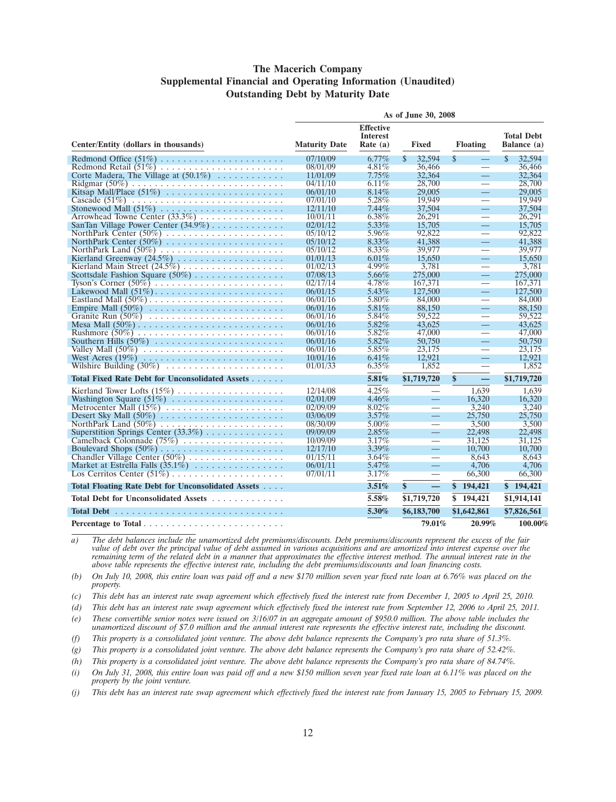#### **The Macerich Company Supplemental Financial and Operating Information (Unaudited) Outstanding Debt by Maturity Date**

|                                                    | As of June 30, 2008  |                                                   |                                |                                  |                         |  |  |  |  |
|----------------------------------------------------|----------------------|---------------------------------------------------|--------------------------------|----------------------------------|-------------------------|--|--|--|--|
| Center/Entity (dollars in thousands)               | <b>Maturity Date</b> | <b>Effective</b><br><b>Interest</b><br>Rate $(a)$ | <b>Floating</b>                | <b>Total Debt</b><br>Balance (a) |                         |  |  |  |  |
|                                                    | 07/10/09             | $6.77\%$                                          | $\mathbf{s}$<br>32.594         | $\mathbb{S}$<br>$\equiv$         | <sup>\$</sup><br>32.594 |  |  |  |  |
|                                                    | 08/01/09             | 4.81%                                             | 36,466                         | $\equiv$                         | 36,466                  |  |  |  |  |
| Corte Madera, The Village at $(50.1\%)$            | 11/01/09             | $7.75\%$                                          | 32,364                         | $\equiv$                         | 32,364                  |  |  |  |  |
|                                                    | 04/11/10             | 6.11%                                             | 28,700                         | $\equiv$                         | 28,700                  |  |  |  |  |
|                                                    | 06/01/10             | $8.14\%$                                          | 29,005                         | Ξ,                               | 29,005                  |  |  |  |  |
|                                                    | 07/01/10             | 5.28%                                             | 19.949                         | $\overline{\phantom{0}}$         | 19.949                  |  |  |  |  |
| Stonewood Mall $(51\%)$                            | 12/11/10             | 7.44%                                             | 37,504                         | Ξ,                               | 37.504                  |  |  |  |  |
| Arrowhead Towne Center (33.3%)                     | 10/01/11             | $6.38\%$                                          | 26,291                         | $\equiv$                         | 26,291                  |  |  |  |  |
| SanTan Village Power Center $(34.9\%)$             | 02/01/12             | 5.33%                                             | 15,705                         | Ξ,                               | 15,705                  |  |  |  |  |
|                                                    | 05/10/12             | 5.96%                                             | 92,822                         | $\overline{\phantom{0}}$         | 92,822                  |  |  |  |  |
|                                                    | 05/10/12             | $8.33\%$                                          | 41,388                         | $\equiv$                         | 41.388                  |  |  |  |  |
| NorthPark Land $(50\%)$                            | 05/10/12             | $8.33\%$                                          | 39,977                         | $\overline{\phantom{0}}$         | 39,977                  |  |  |  |  |
|                                                    | 01/01/13             | $6.01\%$                                          | 15.650                         | $\equiv$                         | 15.650                  |  |  |  |  |
|                                                    | 01/02/13             | $4.99\%$                                          | 3,781                          | $\overline{\phantom{0}}$         | 3,781                   |  |  |  |  |
| Scottsdale Fashion Square $(50\%)$                 | 07/08/13             | 5.66%                                             | 275,000                        | Ξ,                               | 275,000                 |  |  |  |  |
| Tyson's Corner $(50\%)$                            | 02/17/14             | 4.78%                                             | 167,371                        | $\overline{\phantom{0}}$         | 167,371                 |  |  |  |  |
|                                                    | 06/01/15             | $5.43\%$                                          | 127,500                        | $\equiv$                         | 127,500                 |  |  |  |  |
| Eastland Mall $(50\%)$                             | 06/01/16             | 5.80%                                             | 84,000                         | $\overline{\phantom{0}}$         | 84,000                  |  |  |  |  |
|                                                    | 06/01/16             | $5.81\%$                                          | 88,150                         | $\equiv$                         | 88,150                  |  |  |  |  |
|                                                    | 06/01/16             | $5.84\%$                                          | 59,522                         | $\overbrace{\phantom{aaaaa}}$    | 59,522                  |  |  |  |  |
|                                                    | 06/01/16             | 5.82%                                             | 43.625                         | $\equiv$                         | 43.625                  |  |  |  |  |
|                                                    | 06/01/16             | 5.82%                                             | 47,000                         |                                  | 47,000                  |  |  |  |  |
|                                                    | 06/01/16             | 5.82%                                             | 50,750                         | $\equiv$                         | 50,750                  |  |  |  |  |
|                                                    | 06/01/16             | 5.85%                                             | 23.175                         |                                  | 23.175                  |  |  |  |  |
|                                                    | 10/01/16             | $6.41\%$                                          | 12.921                         | $\equiv$                         | 12.921                  |  |  |  |  |
|                                                    | 01/01/33             | $6.35\%$                                          | 1,852                          | $\overline{\phantom{0}}$         | 1,852                   |  |  |  |  |
| Total Fixed Rate Debt for Unconsolidated Assets    |                      | 5.81%                                             | \$1,719,720                    | \$                               | \$1,719,720             |  |  |  |  |
|                                                    | 12/14/08             | 4.25%                                             |                                | 1,639                            | 1,639                   |  |  |  |  |
|                                                    | 02/01/09             | $4.46\%$                                          | $\qquad \qquad -$              | 16,320                           | 16,320                  |  |  |  |  |
| Metrocenter Mall (15%)                             | 02/09/09             | 8.02%                                             | $\overline{\phantom{0}}$       | 3.240                            | 3.240                   |  |  |  |  |
|                                                    | 03/06/09             | $3.57\%$                                          | $\equiv$                       | 25,750                           | 25,750                  |  |  |  |  |
|                                                    | 08/30/09             | 5.00%                                             | $\overline{\phantom{0}}$       | 3.500                            | 3,500                   |  |  |  |  |
| Superstition Springs Center $(33.3\%)$             | 09/09/09             | $2.85\%$                                          | $\equiv$                       | 22,498                           | 22,498                  |  |  |  |  |
| Camelback Colonnade (75%)                          | 10/09/09             | 3.17%                                             | $\overline{\phantom{0}}$       | 31,125                           | 31,125                  |  |  |  |  |
|                                                    | 12/17/10             | $3.39\%$                                          | $\qquad \qquad =$              | 10,700                           | 10,700                  |  |  |  |  |
| Chandler Village Center (50%)                      | 01/15/11             | 3.64%                                             | $\overbrace{\phantom{aaaaa}}$  | 8.643                            | 8.643                   |  |  |  |  |
| Market at Estrella Falls $(35.1\%)$                | 06/01/11             | 5.47%                                             | $\overline{\phantom{0}}$       | 4,706                            | 4,706                   |  |  |  |  |
| Los Cerritos Center $(51\%)$                       | 07/01/11             | 3.17%                                             | $\overbrace{\phantom{aaaaa}}$  | 66,300                           | 66,300                  |  |  |  |  |
| Total Floating Rate Debt for Unconsolidated Assets |                      | 3.51%                                             | \$<br>$\overline{\phantom{0}}$ | \$194,421                        | \$194,421               |  |  |  |  |
| Total Debt for Unconsolidated Assets               |                      | 5.58%                                             | \$1,719,720                    | \$194,421                        | \$1,914,141             |  |  |  |  |
|                                                    |                      | 5.30%                                             | \$6,183,700<br>\$1,642,861     |                                  | \$7,826,561             |  |  |  |  |
|                                                    |                      | 79.01%                                            |                                | 20.99%                           | 100.00%                 |  |  |  |  |

*a) The debt balances include the unamortized debt premiums/discounts. Debt premiums/discounts represent the excess of the fair value of debt over the principal value of debt assumed in various acquisitions and are amortized into interest expense over the remaining term of the related debt in a manner that approximates the effective interest method. The annual interest rate in the above table represents the effective interest rate, including the debt premiums/discounts and loan financing costs.*

*(b) On July 10, 2008, this entire loan was paid off and a new \$170 million seven year fixed rate loan at 6.76% was placed on the property.*

*(c) This debt has an interest rate swap agreement which effectively fixed the interest rate from December 1, 2005 to April 25, 2010.*

*(d) This debt has an interest rate swap agreement which effectively fixed the interest rate from September 12, 2006 to April 25, 2011.*

*(e) These convertible senior notes were issued on 3/16/07 in an aggregate amount of \$950.0 million. The above table includes the unamortized discount of \$7.0 million and the annual interest rate represents the effective interest rate, including the discount.*

*(f) This property is a consolidated joint venture. The above debt balance represents the Company's pro rata share of 51.3%.*

*(g) This property is a consolidated joint venture. The above debt balance represents the Company's pro rata share of 52.42%.*

*(h) This property is a consolidated joint venture. The above debt balance represents the Company's pro rata share of 84.74%.*

*(i) On July 31, 2008, this entire loan was paid off and a new \$150 million seven year fixed rate loan at 6.11% was placed on the property by the joint venture.*

*(j) This debt has an interest rate swap agreement which effectively fixed the interest rate from January 15, 2005 to February 15, 2009.*